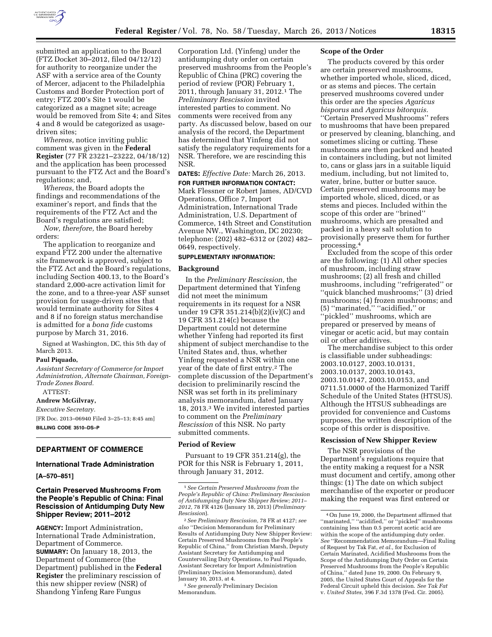

submitted an application to the Board (FTZ Docket 30–2012, filed 04/12/12) for authority to reorganize under the ASF with a service area of the County of Mercer, adjacent to the Philadelphia Customs and Border Protection port of entry; FTZ 200's Site 1 would be categorized as a magnet site; acreage would be removed from Site 4; and Sites 4 and 8 would be categorized as usagedriven sites;

*Whereas,* notice inviting public comment was given in the **Federal Register** (77 FR 23221–23222, 04/18/12) and the application has been processed pursuant to the FTZ Act and the Board's regulations; and,

*Whereas,* the Board adopts the findings and recommendations of the examiner's report, and finds that the requirements of the FTZ Act and the Board's regulations are satisfied;

*Now, therefore,* the Board hereby orders:

The application to reorganize and expand FTZ 200 under the alternative site framework is approved, subject to the FTZ Act and the Board's regulations, including Section 400.13, to the Board's standard 2,000-acre activation limit for the zone, and to a three-year ASF sunset provision for usage-driven sites that would terminate authority for Sites 4 and 8 if no foreign status merchandise is admitted for a *bona fide* customs purpose by March 31, 2016.

Signed at Washington, DC, this 5th day of March 2013.

#### **Paul Piquado,**

*Assistant Secretary of Commerce for Import Administration, Alternate Chairman, Foreign-Trade Zones Board.*  ATTEST:

# **Andrew McGilvray,**

*Executive Secretary.*  [FR Doc. 2013–06940 Filed 3–25–13; 8:45 am] **BILLING CODE 3510–DS–P** 

#### **DEPARTMENT OF COMMERCE**

## **International Trade Administration**

**[A–570–851]** 

# **Certain Preserved Mushrooms From the People's Republic of China: Final Rescission of Antidumping Duty New Shipper Review; 2011–2012**

**AGENCY:** Import Administration, International Trade Administration, Department of Commerce. **SUMMARY:** On January 18, 2013, the Department of Commerce (the Department) published in the **Federal Register** the preliminary rescission of this new shipper review (NSR) of Shandong Yinfeng Rare Fungus

Corporation Ltd. (Yinfeng) under the antidumping duty order on certain preserved mushrooms from the People's Republic of China (PRC) covering the period of review (POR) February 1, 2011, through January 31, 2012.1 The *Preliminary Rescission* invited interested parties to comment. No comments were received from any party. As discussed below, based on our analysis of the record, the Department has determined that Yinfeng did not satisfy the regulatory requirements for a NSR. Therefore, we are rescinding this NSR.

**DATES:** *Effective Date:* March 26, 2013. **FOR FURTHER INFORMATION CONTACT:** 

Mark Flessner or Robert James, AD/CVD Operations, Office 7, Import Administration, International Trade Administration, U.S. Department of Commerce, 14th Street and Constitution Avenue NW., Washington, DC 20230; telephone: (202) 482–6312 or (202) 482– 0649, respectively.

## **SUPPLEMENTARY INFORMATION:**

## **Background**

In the *Preliminary Rescission,* the Department determined that Yinfeng did not meet the minimum requirements in its request for a NSR under 19 CFR 351.214(b)(2)(iv)(C) and 19 CFR 351.214(c) because the Department could not determine whether Yinfeng had reported its first shipment of subject merchandise to the United States and, thus, whether Yinfeng requested a NSR within one year of the date of first entry.2 The complete discussion of the Department's decision to preliminarily rescind the NSR was set forth in its preliminary analysis memorandum, dated January 18, 2013.3 We invited interested parties to comment on the *Preliminary Rescission* of this NSR. No party submitted comments.

### **Period of Review**

Pursuant to 19 CFR 351.214(g), the POR for this NSR is February 1, 2011, through January 31, 2012.

#### **Scope of the Order**

The products covered by this order are certain preserved mushrooms, whether imported whole, sliced, diced, or as stems and pieces. The certain preserved mushrooms covered under this order are the species *Agaricus bisporus* and *Agaricus bitorquis.*  ''Certain Preserved Mushrooms'' refers to mushrooms that have been prepared or preserved by cleaning, blanching, and sometimes slicing or cutting. These mushrooms are then packed and heated in containers including, but not limited to, cans or glass jars in a suitable liquid medium, including, but not limited to, water, brine, butter or butter sauce. Certain preserved mushrooms may be imported whole, sliced, diced, or as stems and pieces. Included within the scope of this order are ''brined'' mushrooms, which are presalted and packed in a heavy salt solution to provisionally preserve them for further processing.4

Excluded from the scope of this order are the following: (1) All other species of mushroom, including straw mushrooms; (2) all fresh and chilled mushrooms, including ''refrigerated'' or ''quick blanched mushrooms;'' (3) dried mushrooms; (4) frozen mushrooms; and (5) ''marinated,'' ''acidified,'' or ''pickled'' mushrooms, which are prepared or preserved by means of vinegar or acetic acid, but may contain oil or other additives.

The merchandise subject to this order is classifiable under subheadings: 2003.10.0127, 2003.10.0131, 2003.10.0137, 2003.10.0143, 2003.10.0147, 2003.10.0153, and 0711.51.0000 of the Harmonized Tariff Schedule of the United States (HTSUS). Although the HTSUS subheadings are provided for convenience and Customs purposes, the written description of the scope of this order is dispositive.

#### **Rescission of New Shipper Review**

The NSR provisions of the Department's regulations require that the entity making a request for a NSR must document and certify, among other things: (1) The date on which subject merchandise of the exporter or producer making the request was first entered or

<sup>1</sup>*See Certain Preserved Mushrooms from the People's Republic of China: Preliminary Rescission of Antidumping Duty New Shipper Review; 2011– 2012,* 78 FR 4126 (January 18, 2013) (*Preliminary Rescission*).

<sup>2</sup>*See Preliminary Rescission,* 78 FR at 4127; *see also* ''Decision Memorandum for Preliminary Results of Antidumping Duty New Shipper Review: Certain Preserved Mushrooms from the People's Republic of China,'' from Christian Marsh, Deputy Assistant Secretary for Antidumping and Countervailing Duty Operations, to Paul Piquado, Assistant Secretary for Import Administration (Preliminary Decision Memorandum), dated January 10, 2013, at 4.

<sup>3</sup>*See generally* Preliminary Decision Memorandum.

<sup>4</sup>On June 19, 2000, the Department affirmed that ''marinated,'' ''acidified,'' or ''pickled'' mushrooms containing less than 0.5 percent acetic acid are within the scope of the antidumping duty order. *See* ''Recommendation Memorandum—Final Ruling of Request by Tak Fat, *et al.,* for Exclusion of Certain Marinated, Acidified Mushrooms from the Scope of the Antidumping Duty Order on Certain Preserved Mushrooms from the People's Republic of China,'' dated June 19, 2000. On February 9, 2005, the United States Court of Appeals for the Federal Circuit upheld this decision. *See Tak Fat*  v. *United States,* 396 F.3d 1378 (Fed. Cir. 2005).